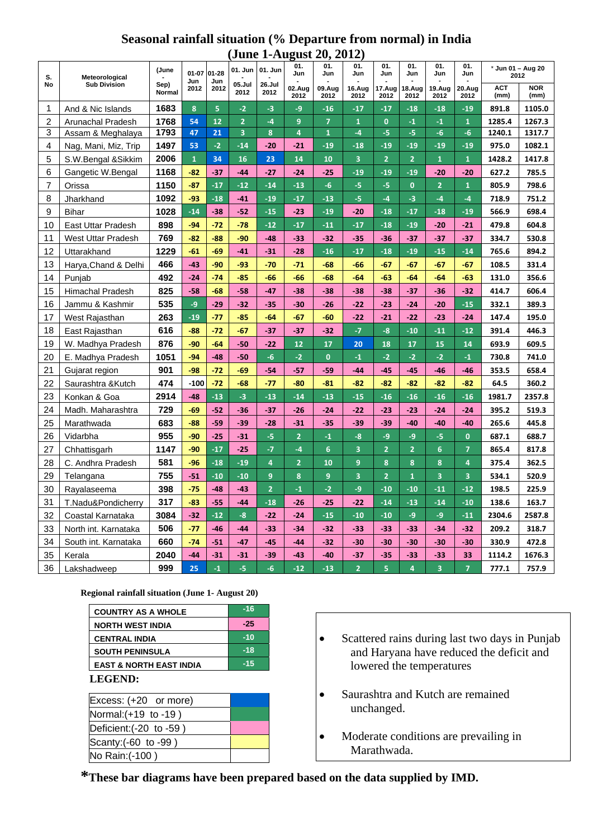## **Seasonal rainfall situation (% Departure from normal) in India (June 1-August 20, 2012)**

| S.<br><b>No</b>         | Meteorological<br><b>Sub Division</b> | (June<br>Sep)<br>Normal | $01 - 07$<br>Jun<br>2012 | 01-28<br>Jun<br>2012 | 01. Jun<br>05.Jul<br>2012 | 01. Jun<br>26.Jul<br>2012 | 01.<br>Jun     | 01.<br>Jun     | 01.<br>Jun              | 01.<br>Jun     | 01.<br>Jun              | 01.<br>Jun     | 01.<br>Jun              | * Jun 01 - Aug 20<br>2012 |                    |
|-------------------------|---------------------------------------|-------------------------|--------------------------|----------------------|---------------------------|---------------------------|----------------|----------------|-------------------------|----------------|-------------------------|----------------|-------------------------|---------------------------|--------------------|
|                         |                                       |                         |                          |                      |                           |                           | 02.Aug<br>2012 | 09.Aug<br>2012 | 16.Aug<br>2012          | 17.Aug<br>2012 | 18.Aug<br>2012          | 19.Aug<br>2012 | 20.Aug<br>2012          | <b>ACT</b><br>(mm)        | <b>NOR</b><br>(mm) |
| 1                       | And & Nic Islands                     | 1683                    | 8                        | 5                    | $-2$                      | $-3$                      | $-9$           | $-16$          | $-17$                   | $-17$          | $-18$                   | $-18$          | $-19$                   | 891.8                     | 1105.0             |
| $\overline{\mathbf{c}}$ | Arunachal Pradesh                     | 1768                    | 54                       | 12                   | $\overline{2}$            | $-4$                      | 9              | $\overline{7}$ | $\overline{1}$          | $\mathbf{0}$   | $-1$                    | $-1$           | $\mathbf{1}$            | 1285.4                    | 1267.3             |
| 3                       | Assam & Meghalaya                     | 1793                    | 47                       | 21                   | $\overline{\mathbf{3}}$   | 8                         | $\overline{4}$ | $\mathbf{1}$   | $-4$                    | $-5$           | -5                      | $-6$           | $-6$                    | 1240.1                    | 1317.7             |
| 4                       | Nag, Mani, Miz, Trip                  | 1497                    | 53                       | $-2$                 | $-14$                     | $-20$                     | $-21$          | $-19$          | $-18$                   | $-19$          | $-19$                   | $-19$          | $-19$                   | 975.0                     | 1082.1             |
| 5                       | S.W.Bengal &Sikkim                    | 2006                    | $\mathbf{1}$             | 34                   | 16                        | 23                        | 14             | 10             | $\overline{\mathbf{3}}$ | $\overline{2}$ | $\overline{2}$          | $\overline{1}$ | $\mathbf{1}$            | 1428.2                    | 1417.8             |
| 6                       | Gangetic W.Bengal                     | 1168                    | $-82$                    | $-37$                | $-44$                     | $-27$                     | $-24$          | $-25$          | $-19$                   | $-19$          | $-19$                   | $-20$          | $-20$                   | 627.2                     | 785.5              |
| $\overline{7}$          | Orissa                                | 1150                    | $-87$                    | $-17$                | $-12$                     | $-14$                     | $-13$          | $-6$           | -5                      | -5             | $\mathbf{0}$            | $\overline{2}$ | $\mathbf{1}$            | 805.9                     | 798.6              |
| 8                       | Jharkhand                             | 1092                    | $-93$                    | $-18$                | $-41$                     | $-19$                     | $-17$          | $-13$          | -5                      | $-4$           | $-3$                    | $-4$           | $-4$                    | 718.9                     | 751.2              |
| 9                       | <b>Bihar</b>                          | 1028                    | $-14$                    | $-38$                | $-52$                     | $-15$                     | $-23$          | $-19$          | $-20$                   | $-18$          | $-17$                   | $-18$          | $-19$                   | 566.9                     | 698.4              |
| 10                      | <b>East Uttar Pradesh</b>             | 898                     | $-94$                    | $-72$                | $-78$                     | $-12$                     | $-17$          | $-11$          | $-17$                   | $-18$          | $-19$                   | $-20$          | $-21$                   | 479.8                     | 604.8              |
| 11                      | <b>West Uttar Pradesh</b>             | 769                     | $-82$                    | $-88$                | $-90$                     | $-48$                     | $-33$          | $-32$          | $-35$                   | $-36$          | $-37$                   | $-37$          | $-37$                   | 334.7                     | 530.8              |
| 12                      | Uttarakhand                           | 1229                    | $-61$                    | $-69$                | $-41$                     | $-31$                     | $-28$          | $-16$          | $-17$                   | $-18$          | $-19$                   | $-15$          | $-14$                   | 765.6                     | 894.2              |
| 13                      | Harya, Chand & Delhi                  | 466                     | $-43$                    | $-90$                | $-93$                     | $-70$                     | $-71$          | $-68$          | -66                     | $-67$          | $-67$                   | $-67$          | $-67$                   | 108.5                     | 331.4              |
| 14                      | Punjab                                | 492                     | $-24$                    | $-74$                | $-85$                     | $-66$                     | $-66$          | -68            | $-64$                   | $-63$          | $-64$                   | $-64$          | $-63$                   | 131.0                     | 356.6              |
| 15                      | <b>Himachal Pradesh</b>               | 825                     | $-58$                    | $-68$                | $-58$                     | $-47$                     | $-38$          | $-38$          | $-38$                   | $-38$          | $-37$                   | $-36$          | $-32$                   | 414.7                     | 606.4              |
| 16                      | Jammu & Kashmir                       | 535                     | -9                       | $-29$                | $-32$                     | $-35$                     | $-30$          | $-26$          | $-22$                   | $-23$          | $-24$                   | $-20$          | $-15$                   | 332.1                     | 389.3              |
| 17                      | West Rajasthan                        | 263                     | $-19$                    | $-77$                | $-85$                     | $-64$                     | $-67$          | $-60$          | $-22$                   | $-21$          | $-22$                   | $-23$          | $-24$                   | 147.4                     | 195.0              |
| 18                      | East Rajasthan                        | 616                     | $-88$                    | $-72$                | $-67$                     | $-37$                     | $-37$          | $-32$          | $-7$                    | $-8$           | $-10$                   | $-11$          | $-12$                   | 391.4                     | 446.3              |
| 19                      | W. Madhya Pradesh                     | 876                     | $-90$                    | $-64$                | $-50$                     | $-22$                     | 12             | 17             | 20                      | 18             | 17                      | 15             | 14                      | 693.9                     | 609.5              |
| 20                      | E. Madhya Pradesh                     | 1051                    | $-94$                    | $-48$                | $-50$                     | $-6$                      | $-2$           | $\mathbf{0}$   | $-1$                    | $-2$           | $-2$                    | $-2$           | $-1$                    | 730.8                     | 741.0              |
| 21                      | Gujarat region                        | 901                     | $-98$                    | $-72$                | $-69$                     | $-54$                     | $-57$          | $-59$          | $-44$                   | $-45$          | $-45$                   | $-46$          | $-46$                   | 353.5                     | 658.4              |
| 22                      | Saurashtra & Kutch                    | 474                     | $-100$                   | $-72$                | $-68$                     | $-77$                     | $-80$          | $-81$          | $-82$                   | $-82$          | $-82$                   | $-82$          | $-82$                   | 64.5                      | 360.2              |
| 23                      | Konkan & Goa                          | 2914                    | $-48$                    | $-13$                | $-3$                      | $-13$                     | $-14$          | $-13$          | $-15$                   | $-16$          | $-16$                   | $-16$          | $-16$                   | 1981.7                    | 2357.8             |
| 24                      | Madh. Maharashtra                     | 729                     | $-69$                    | $-52$                | $-36$                     | $-37$                     | $-26$          | $-24$          | $-22$                   | $-23$          | $-23$                   | $-24$          | $-24$                   | 395.2                     | 519.3              |
| 25                      | Marathwada                            | 683                     | $-88$                    | $-59$                | $-39$                     | $-28$                     | $-31$          | $-35$          | $-39$                   | $-39$          | $-40$                   | $-40$          | $-40$                   | 265.6                     | 445.8              |
| 26                      | Vidarbha                              | 955                     | $-90$                    | $-25$                | $-31$                     | $-5$                      | $\overline{2}$ | $-1$           | $-8$                    | $-9$           | -9                      | -5             | $\mathbf{0}$            | 687.1                     | 688.7              |
| 27                      | Chhattisgarh                          | 1147                    | $-90$                    | $-17$                | $-25$                     | $-7$                      | $-4$           | 6              | 3                       | $\overline{2}$ | $\overline{2}$          | 6              | $\overline{7}$          | 865.4                     | 817.8              |
| 28                      | C. Andhra Pradesh                     | 581                     | $-96$                    | $-18$                | $-19$                     | 4                         | $\overline{2}$ | 10             | 9                       | 8              | 8                       | 8              | $\overline{\mathbf{4}}$ | 375.4                     | 362.5              |
| 29                      | Telangana                             | 755                     | $-51$                    | $-10$                | $-10$                     | 9                         | 8              | 9              | 3                       | $\overline{2}$ | $\overline{\mathbf{1}}$ | 3              | 3                       | 534.1                     | 520.9              |
| 30                      | Rayalaseema                           | 398                     | $-75$                    | $-48$                | $-43$                     | $\overline{2}$            | $-1$           | $-2$           | -9                      | $-10$          | $-10$                   | $-11$          | $-12$                   | 198.5                     | 225.9              |
| 31                      | T.Nadu&Pondicherry                    | 317                     | $-83$                    | $-55$                | $-44$                     | $-18$                     | $-26$          | $-25$          | $-22$                   | $-14$          | $-13$                   | $-14$          | $-10$                   | 138.6                     | 163.7              |
| 32                      | Coastal Karnataka                     | 3084                    | $-32$                    | $-12$                | $-8$                      | $-22$                     | $-24$          | $-15$          | $-10$                   | $-10$          | -9                      | -9             | $-11$                   | 2304.6                    | 2587.8             |
| 33                      | North int. Karnataka                  | 506                     | $-77$                    | $-46$                | $-44$                     | $-33$                     | $-34$          | $-32$          | $-33$                   | $-33$          | $-33$                   | $-34$          | $-32$                   | 209.2                     | 318.7              |
| 34                      | South int. Karnataka                  | 660                     | $-74$                    | $-51$                | $-47$                     | $-45$                     | $-44$          | $-32$          | $-30$                   | $-30$          | $-30$                   | $-30$          | $-30$                   | 330.9                     | 472.8              |
| 35                      | Kerala                                | 2040                    | $-44$                    | $-31$                | $-31$                     | $-39$                     | $-43$          | $-40$          | $-37$                   | $-35$          | $-33$                   | $-33$          | 33                      | 1114.2                    | 1676.3             |
| 36                      | Lakshadweep                           | 999                     | 25                       | $-1$                 | $-5$                      | $-6$                      | $-12$          | $-13$          | $\overline{2}$          | 5              | 4                       | 3              | $\overline{7}$          | 777.1                     | 757.9              |

**Regional rainfall situation (June 1- August 20)** 

| <b>COUNTRY AS A WHOLE</b>          | $-16$ |
|------------------------------------|-------|
| <b>NORTH WEST INDIA</b>            | $-25$ |
| <b>CENTRAL INDIA</b>               | $-10$ |
| <b>SOUTH PENINSULA</b>             | $-18$ |
| <b>EAST &amp; NORTH EAST INDIA</b> | $-15$ |

## **LEGEND:**

| Excess: (+20 or more)   |  |
|-------------------------|--|
| Normal: (+19 to -19)    |  |
| Deficient: (-20 to -59) |  |
| Scanty: (-60 to -99)    |  |
| No Rain: (-100)         |  |

- Scattered rains during last two days in Punjab and Haryana have reduced the deficit and lowered the temperatures
- Saurashtra and Kutch are remained unchanged.
- Moderate conditions are prevailing in Marathwada.

**\*These bar diagrams have been prepared based on the data supplied by IMD.**